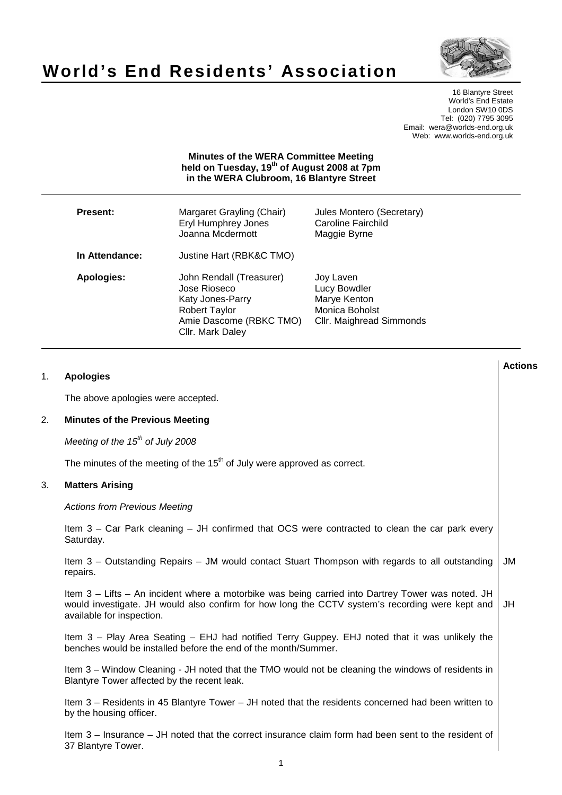# **World's End Residents' Association**



16 Blantyre Street World's End Estate London SW10 0DS Tel: (020) 7795 3095 Email: wera@worlds-end.org.uk Web: www.worlds-end.org.uk

## **Minutes of the WERA Committee Meeting held on Tuesday, 19th of August 2008 at 7pm in the WERA Clubroom, 16 Blantyre Street**

| <b>Present:</b> | Margaret Grayling (Chair)<br><b>Eryl Humphrey Jones</b><br>Joanna Mcdermott                                                         | Jules Montero (Secretary)<br><b>Caroline Fairchild</b><br>Maggie Byrne                  |
|-----------------|-------------------------------------------------------------------------------------------------------------------------------------|-----------------------------------------------------------------------------------------|
| In Attendance:  | Justine Hart (RBK&C TMO)                                                                                                            |                                                                                         |
| Apologies:      | John Rendall (Treasurer)<br>Jose Rioseco<br>Katy Jones-Parry<br><b>Robert Taylor</b><br>Amie Dascome (RBKC TMO)<br>Cllr. Mark Daley | Joy Laven<br>Lucy Bowdler<br>Marye Kenton<br>Monica Boholst<br>Cllr. Maighread Simmonds |

|    |                                                                                                                                                                                                                                   | <b>Actions</b> |
|----|-----------------------------------------------------------------------------------------------------------------------------------------------------------------------------------------------------------------------------------|----------------|
| 1. | <b>Apologies</b>                                                                                                                                                                                                                  |                |
|    | The above apologies were accepted.                                                                                                                                                                                                |                |
| 2. | <b>Minutes of the Previous Meeting</b>                                                                                                                                                                                            |                |
|    | Meeting of the $15^{th}$ of July 2008                                                                                                                                                                                             |                |
|    | The minutes of the meeting of the 15 <sup>th</sup> of July were approved as correct.                                                                                                                                              |                |
| 3. | <b>Matters Arising</b>                                                                                                                                                                                                            |                |
|    | <b>Actions from Previous Meeting</b>                                                                                                                                                                                              |                |
|    | Item 3 – Car Park cleaning – JH confirmed that OCS were contracted to clean the car park every<br>Saturday.                                                                                                                       |                |
|    | Item 3 – Outstanding Repairs – JM would contact Stuart Thompson with regards to all outstanding<br>repairs.                                                                                                                       | JM             |
|    | Item 3 - Lifts - An incident where a motorbike was being carried into Dartrey Tower was noted. JH<br>would investigate. JH would also confirm for how long the CCTV system's recording were kept and<br>available for inspection. | JH             |
|    | Item 3 - Play Area Seating - EHJ had notified Terry Guppey. EHJ noted that it was unlikely the<br>benches would be installed before the end of the month/Summer.                                                                  |                |
|    | Item 3 – Window Cleaning - JH noted that the TMO would not be cleaning the windows of residents in<br>Blantyre Tower affected by the recent leak.                                                                                 |                |
|    | Item 3 - Residents in 45 Blantyre Tower - JH noted that the residents concerned had been written to<br>by the housing officer.                                                                                                    |                |
|    | Item 3 – Insurance – JH noted that the correct insurance claim form had been sent to the resident of<br>37 Blantyre Tower.                                                                                                        |                |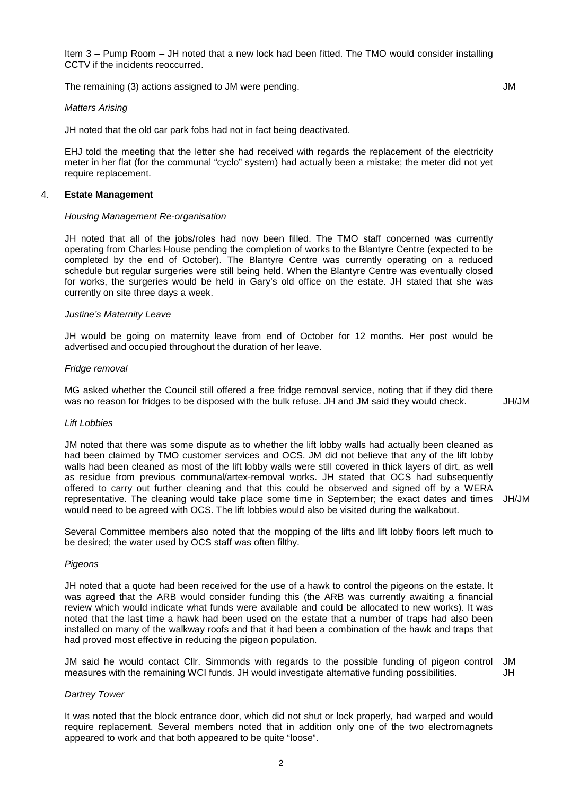Item 3 – Pump Room – JH noted that a new lock had been fitted. The TMO would consider installing CCTV if the incidents reoccurred.

JM

The remaining (3) actions assigned to JM were pending.

#### Matters Arising

JH noted that the old car park fobs had not in fact being deactivated.

EHJ told the meeting that the letter she had received with regards the replacement of the electricity meter in her flat (for the communal "cyclo" system) had actually been a mistake; the meter did not yet require replacement.

#### 4. **Estate Management**

#### Housing Management Re-organisation

JH noted that all of the jobs/roles had now been filled. The TMO staff concerned was currently operating from Charles House pending the completion of works to the Blantyre Centre (expected to be completed by the end of October). The Blantyre Centre was currently operating on a reduced schedule but regular surgeries were still being held. When the Blantyre Centre was eventually closed for works, the surgeries would be held in Gary's old office on the estate. JH stated that she was currently on site three days a week.

#### Justine's Maternity Leave

JH would be going on maternity leave from end of October for 12 months. Her post would be advertised and occupied throughout the duration of her leave.

#### Fridge removal

MG asked whether the Council still offered a free fridge removal service, noting that if they did there was no reason for fridges to be disposed with the bulk refuse. JH and JM said they would check. JH/JM

#### Lift Lobbies

JM noted that there was some dispute as to whether the lift lobby walls had actually been cleaned as had been claimed by TMO customer services and OCS. JM did not believe that any of the lift lobby walls had been cleaned as most of the lift lobby walls were still covered in thick layers of dirt, as well as residue from previous communal/artex-removal works. JH stated that OCS had subsequently offered to carry out further cleaning and that this could be observed and signed off by a WERA representative. The cleaning would take place some time in September; the exact dates and times would need to be agreed with OCS. The lift lobbies would also be visited during the walkabout. JH/JM

Several Committee members also noted that the mopping of the lifts and lift lobby floors left much to be desired; the water used by OCS staff was often filthy.

#### Pigeons

JH noted that a quote had been received for the use of a hawk to control the pigeons on the estate. It was agreed that the ARB would consider funding this (the ARB was currently awaiting a financial review which would indicate what funds were available and could be allocated to new works). It was noted that the last time a hawk had been used on the estate that a number of traps had also been installed on many of the walkway roofs and that it had been a combination of the hawk and traps that had proved most effective in reducing the pigeon population.

JM said he would contact Cllr. Simmonds with regards to the possible funding of pigeon control measures with the remaining WCI funds. JH would investigate alternative funding possibilities. JM JH

#### Dartrey Tower

It was noted that the block entrance door, which did not shut or lock properly, had warped and would require replacement. Several members noted that in addition only one of the two electromagnets appeared to work and that both appeared to be quite "loose".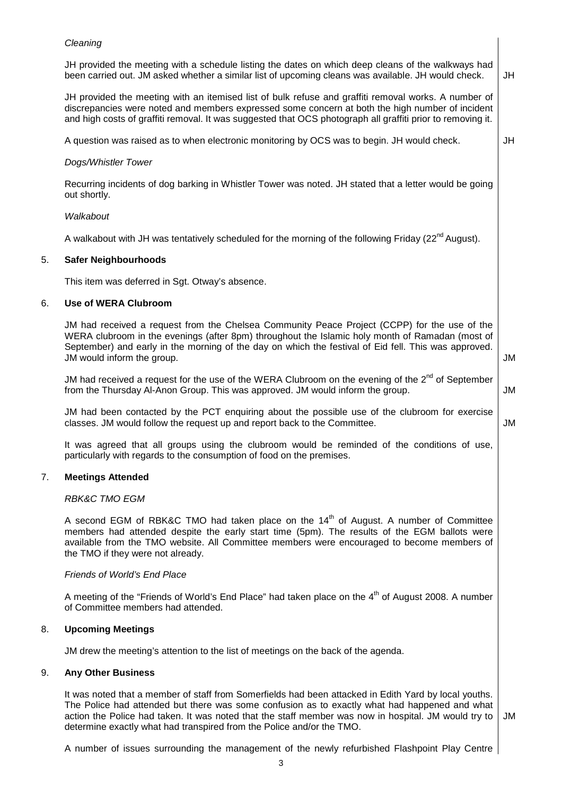## Cleaning

JH provided the meeting with an itemised list of bulk refuse and graffiti removal works. A number of discrepancies were noted and members expressed some concern at both the high number of incident and high costs of graffiti removal. It was suggested that OCS photograph all graffiti prior to removing it.

A question was raised as to when electronic monitoring by OCS was to begin. JH would check.

## Dogs/Whistler Tower

Recurring incidents of dog barking in Whistler Tower was noted. JH stated that a letter would be going out shortly.

## **Walkabout**

A walkabout with JH was tentatively scheduled for the morning of the following Friday ( $22^{nd}$  August).

## 5. **Safer Neighbourhoods**

This item was deferred in Sgt. Otway's absence.

## 6. **Use of WERA Clubroom**

JM had received a request from the Chelsea Community Peace Project (CCPP) for the use of the WERA clubroom in the evenings (after 8pm) throughout the Islamic holy month of Ramadan (most of September) and early in the morning of the day on which the festival of Eid fell. This was approved. JM would inform the group.

JM had received a request for the use of the WERA Clubroom on the evening of the  $2^{nd}$  of September from the Thursday Al-Anon Group. This was approved. JM would inform the group.

JM

JM

JM had been contacted by the PCT enquiring about the possible use of the clubroom for exercise classes. JM would follow the request up and report back to the Committee.

It was agreed that all groups using the clubroom would be reminded of the conditions of use, particularly with regards to the consumption of food on the premises.

# 7. **Meetings Attended**

## RBK&C TMO EGM

A second EGM of RBK&C TMO had taken place on the  $14<sup>th</sup>$  of August. A number of Committee members had attended despite the early start time (5pm). The results of the EGM ballots were available from the TMO website. All Committee members were encouraged to become members of the TMO if they were not already.

# Friends of World's End Place

A meeting of the "Friends of World's End Place" had taken place on the  $4<sup>th</sup>$  of August 2008. A number of Committee members had attended.

# 8. **Upcoming Meetings**

JM drew the meeting's attention to the list of meetings on the back of the agenda.

## 9. **Any Other Business**

It was noted that a member of staff from Somerfields had been attacked in Edith Yard by local youths. The Police had attended but there was some confusion as to exactly what had happened and what action the Police had taken. It was noted that the staff member was now in hospital. JM would try to determine exactly what had transpired from the Police and/or the TMO.

JM

A number of issues surrounding the management of the newly refurbished Flashpoint Play Centre

JH

JM